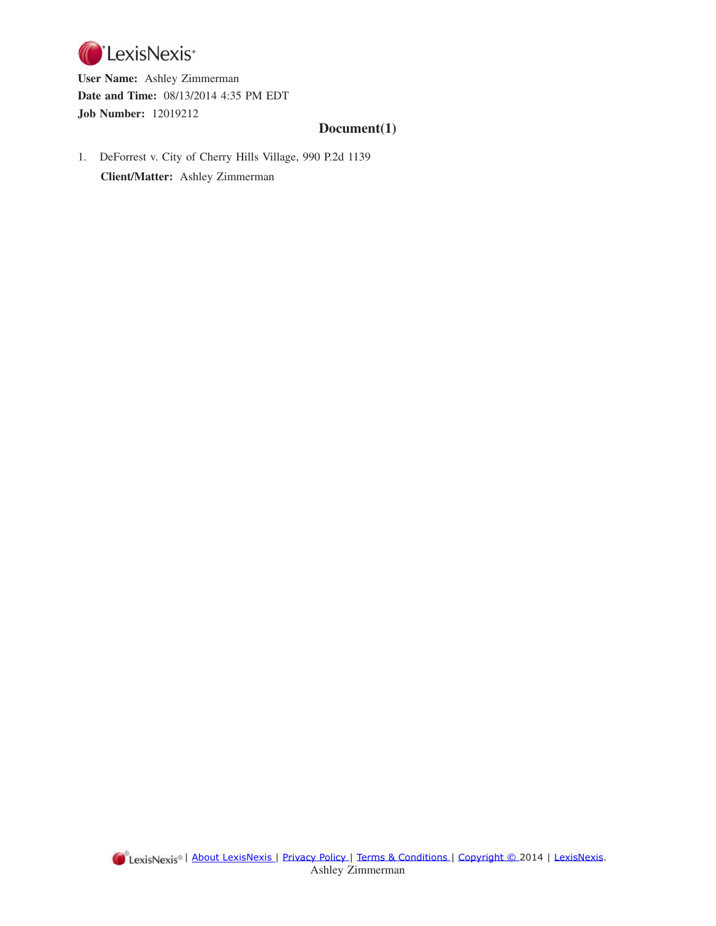

**User Name:** Ashley Zimmerman **Date and Time:** 08/13/2014 4:35 PM EDT **Job Number:** 12019212

# **Document(1)**

1. DeForrest v. City of Cherry Hills Village, 990 P.2d 1139 **Client/Matter:** Ashley Zimmerman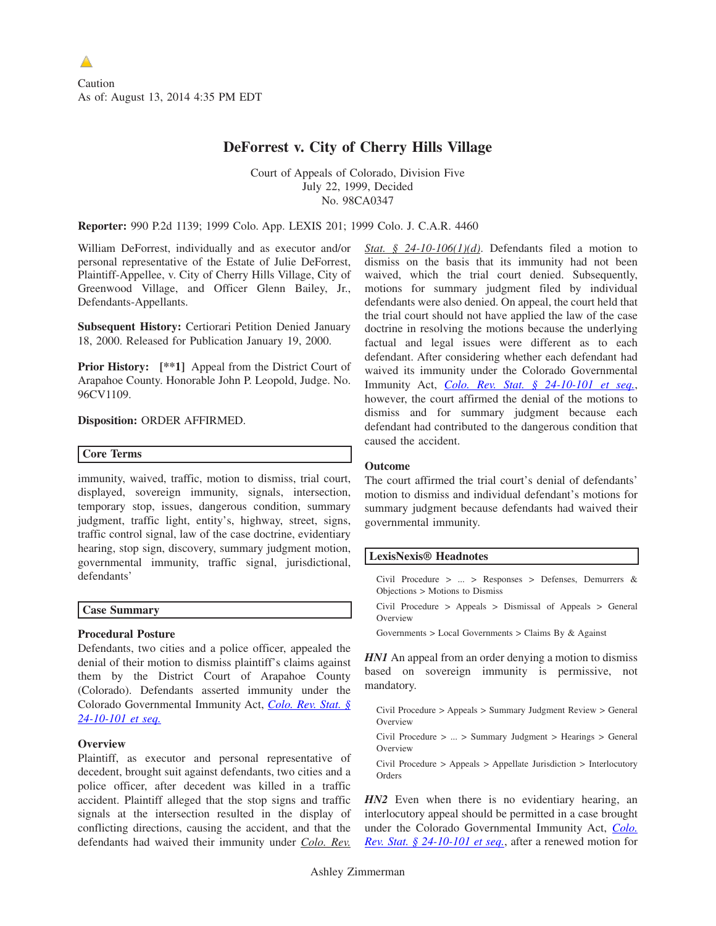# **DeForrest v. City of Cherry Hills Village**

Court of Appeals of Colorado, Division Five July 22, 1999, Decided No. 98CA0347

**Reporter:** 990 P.2d 1139; 1999 Colo. App. LEXIS 201; 1999 Colo. J. C.A.R. 4460

William DeForrest, individually and as executor and/or personal representative of the Estate of Julie DeForrest, Plaintiff-Appellee, v. City of Cherry Hills Village, City of Greenwood Village, and Officer Glenn Bailey, Jr., Defendants-Appellants.

**Subsequent History:** Certiorari Petition Denied January 18, 2000. Released for Publication January 19, 2000.

**Prior History:**  $[**1]$  Appeal from the District Court of Arapahoe County. Honorable John P. Leopold, Judge. No. 96CV1109.

**Disposition:** ORDER AFFIRMED.

## **Core Terms**

immunity, waived, traffic, motion to dismiss, trial court, displayed, sovereign immunity, signals, intersection, temporary stop, issues, dangerous condition, summary judgment, traffic light, entity's, highway, street, signs, traffic control signal, law of the case doctrine, evidentiary hearing, stop sign, discovery, summary judgment motion, governmental immunity, traffic signal, jurisdictional, defendants'

## **Case Summary**

## **Procedural Posture**

Defendants, two cities and a police officer, appealed the denial of their motion to dismiss plaintiff's claims against them by the District Court of Arapahoe County (Colorado). Defendants asserted immunity under the Colorado Governmental Immunity Act, *[Colo. Rev. Stat. §](http://advance.lexis.com/api/document/collection/statutes-legislation/id/597D-F000-01JM-N258-00000-00?context=1000516) [24-10-101 et seq.](http://advance.lexis.com/api/document/collection/statutes-legislation/id/597D-F000-01JM-N258-00000-00?context=1000516)*

## **Overview**

Plaintiff, as executor and personal representative of decedent, brought suit against defendants, two cities and a police officer, after decedent was killed in a traffic accident. Plaintiff alleged that the stop signs and traffic signals at the intersection resulted in the display of conflicting directions, causing the accident, and that the defendants had waived their immunity under *Colo. Rev.* *Stat. § 24-10-106(1)(d)*. Defendants filed a motion to dismiss on the basis that its immunity had not been waived, which the trial court denied. Subsequently, motions for summary judgment filed by individual defendants were also denied. On appeal, the court held that the trial court should not have applied the law of the case doctrine in resolving the motions because the underlying factual and legal issues were different as to each defendant. After considering whether each defendant had waived its immunity under the Colorado Governmental Immunity Act, *[Colo. Rev. Stat. § 24-10-101 et seq.](http://advance.lexis.com/api/document/collection/statutes-legislation/id/597D-F000-01JM-N258-00000-00?context=1000516)*, however, the court affirmed the denial of the motions to dismiss and for summary judgment because each defendant had contributed to the dangerous condition that caused the accident.

## **Outcome**

The court affirmed the trial court's denial of defendants' motion to dismiss and individual defendant's motions for summary judgment because defendants had waived their governmental immunity.

## **LexisNexis® Headnotes**

Civil Procedure > ... > Responses > Defenses, Demurrers & Objections > Motions to Dismiss

Civil Procedure > Appeals > Dismissal of Appeals > General Overview

Governments > Local Governments > Claims By & Against

*HN1* An appeal from an order denying a motion to dismiss based on sovereign immunity is permissive, not mandatory.

Civil Procedure > Appeals > Summary Judgment Review > General Overview

Civil Procedure > ... > Summary Judgment > Hearings > General Overview

Civil Procedure > Appeals > Appellate Jurisdiction > Interlocutory Orders

*HN2* Even when there is no evidentiary hearing, an interlocutory appeal should be permitted in a case brought under the Colorado Governmental Immunity Act, *[Colo.](http://advance.lexis.com/api/document/collection/statutes-legislation/id/597D-F000-01JM-N258-00000-00?context=1000516) [Rev. Stat. § 24-10-101 et seq.](http://advance.lexis.com/api/document/collection/statutes-legislation/id/597D-F000-01JM-N258-00000-00?context=1000516)*, after a renewed motion for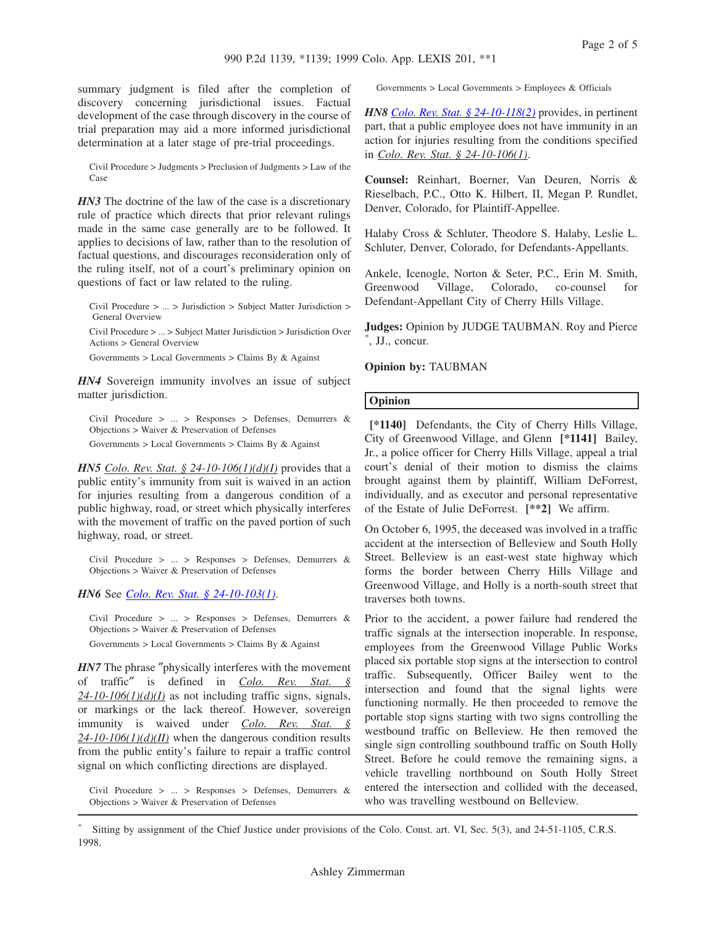summary judgment is filed after the completion of discovery concerning jurisdictional issues. Factual development of the case through discovery in the course of trial preparation may aid a more informed jurisdictional determination at a later stage of pre-trial proceedings.

Civil Procedure > Judgments > Preclusion of Judgments > Law of the Case

*HN3* The doctrine of the law of the case is a discretionary rule of practice which directs that prior relevant rulings made in the same case generally are to be followed. It applies to decisions of law, rather than to the resolution of factual questions, and discourages reconsideration only of the ruling itself, not of a court's preliminary opinion on questions of fact or law related to the ruling.

Civil Procedure > ... > Jurisdiction > Subject Matter Jurisdiction > General Overview

Civil Procedure > ... > Subject Matter Jurisdiction > Jurisdiction Over Actions > General Overview

Governments > Local Governments > Claims By & Against

*HN4* Sovereign immunity involves an issue of subject matter jurisdiction.

Civil Procedure > ... > Responses > Defenses, Demurrers & Objections > Waiver & Preservation of Defenses

Governments > Local Governments > Claims By & Against

*HN5 Colo. Rev. Stat. § 24-10-106(1)(d)(I)* provides that a public entity's immunity from suit is waived in an action for injuries resulting from a dangerous condition of a public highway, road, or street which physically interferes with the movement of traffic on the paved portion of such highway, road, or street.

Civil Procedure > ... > Responses > Defenses, Demurrers & Objections > Waiver & Preservation of Defenses

*HN6* See *[Colo. Rev. Stat. § 24-10-103\(1\)](http://advance.lexis.com/api/document/collection/statutes-legislation/id/597D-F000-01JM-N25B-00000-00?context=1000516)*.

Civil Procedure > ... > Responses > Defenses, Demurrers & Objections > Waiver & Preservation of Defenses

Governments > Local Governments > Claims By & Against

*HN7* The phrase "physically interferes with the movement of traffic″ is defined in *Colo. Rev. Stat. § 24-10-106(1)(d)(I)* as not including traffic signs, signals, or markings or the lack thereof. However, sovereign immunity is waived under *Colo. Rev. Stat. § 24-10-106(1)(d)(II)* when the dangerous condition results from the public entity's failure to repair a traffic control signal on which conflicting directions are displayed.

Civil Procedure > ... > Responses > Defenses, Demurrers & Objections > Waiver & Preservation of Defenses

Governments > Local Governments > Employees & Officials

*HN8 [Colo. Rev. Stat. § 24-10-118\(2\)](http://advance.lexis.com/api/document/collection/statutes-legislation/id/597D-F000-01JM-N262-00000-00?context=1000516)* provides, in pertinent part, that a public employee does not have immunity in an action for injuries resulting from the conditions specified in *Colo. Rev. Stat. § 24-10-106(1)*.

**Counsel:** Reinhart, Boerner, Van Deuren, Norris & Rieselbach, P.C., Otto K. Hilbert, II, Megan P. Rundlet, Denver, Colorado, for Plaintiff-Appellee.

Halaby Cross & Schluter, Theodore S. Halaby, Leslie L. Schluter, Denver, Colorado, for Defendants-Appellants.

Ankele, Icenogle, Norton & Seter, P.C., Erin M. Smith, Greenwood Village, Colorado, co-counsel for Defendant-Appellant City of Cherry Hills Village.

**Judges:** Opinion by JUDGE TAUBMAN. Roy and Pierce \* , JJ., concur.

#### **Opinion by:** TAUBMAN

#### **Opinion**

**[\*1140]** Defendants, the City of Cherry Hills Village, City of Greenwood Village, and Glenn **[\*1141]** Bailey, Jr., a police officer for Cherry Hills Village, appeal a trial court's denial of their motion to dismiss the claims brought against them by plaintiff, William DeForrest, individually, and as executor and personal representative of the Estate of Julie DeForrest. **[\*\*2]** We affirm.

On October 6, 1995, the deceased was involved in a traffic accident at the intersection of Belleview and South Holly Street. Belleview is an east-west state highway which forms the border between Cherry Hills Village and Greenwood Village, and Holly is a north-south street that traverses both towns.

Prior to the accident, a power failure had rendered the traffic signals at the intersection inoperable. In response, employees from the Greenwood Village Public Works placed six portable stop signs at the intersection to control traffic. Subsequently, Officer Bailey went to the intersection and found that the signal lights were functioning normally. He then proceeded to remove the portable stop signs starting with two signs controlling the westbound traffic on Belleview. He then removed the single sign controlling southbound traffic on South Holly Street. Before he could remove the remaining signs, a vehicle travelling northbound on South Holly Street entered the intersection and collided with the deceased, who was travelling westbound on Belleview.

\* Sitting by assignment of the Chief Justice under provisions of the Colo. Const. art. VI, Sec. 5(3), and 24-51-1105, C.R.S. 1998.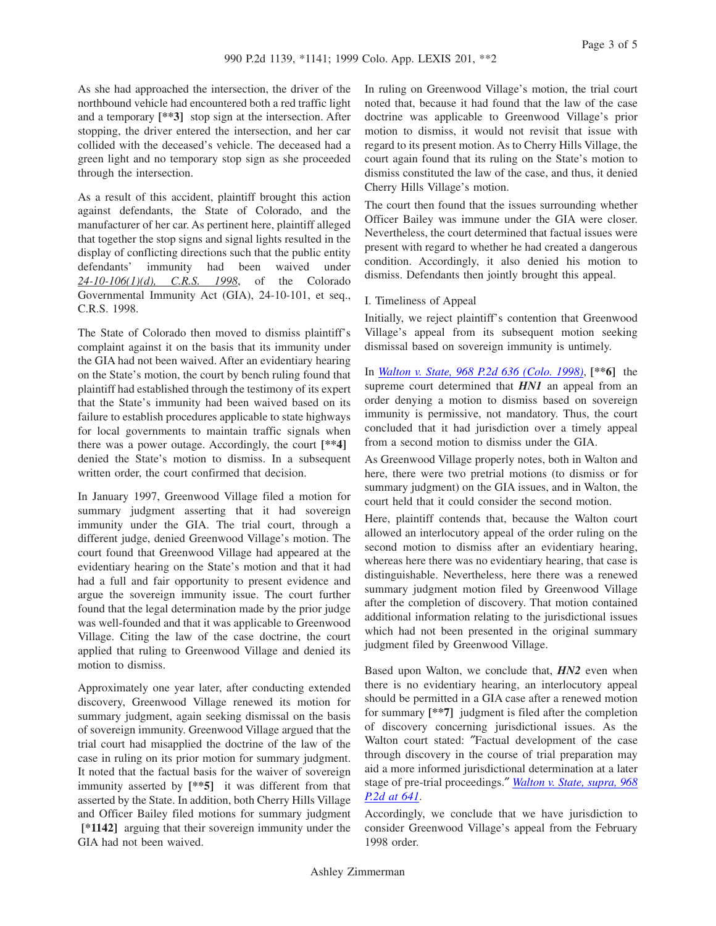Page 3 of 5

As she had approached the intersection, the driver of the northbound vehicle had encountered both a red traffic light and a temporary **[\*\*3]** stop sign at the intersection. After stopping, the driver entered the intersection, and her car collided with the deceased's vehicle. The deceased had a green light and no temporary stop sign as she proceeded through the intersection.

As a result of this accident, plaintiff brought this action against defendants, the State of Colorado, and the manufacturer of her car. As pertinent here, plaintiff alleged that together the stop signs and signal lights resulted in the display of conflicting directions such that the public entity defendants' immunity had been waived under *24-10-106(1)(d), C.R.S. 1998*, of the Colorado Governmental Immunity Act (GIA), 24-10-101, et seq., C.R.S. 1998.

The State of Colorado then moved to dismiss plaintiff's complaint against it on the basis that its immunity under the GIA had not been waived. After an evidentiary hearing on the State's motion, the court by bench ruling found that plaintiff had established through the testimony of its expert that the State's immunity had been waived based on its failure to establish procedures applicable to state highways for local governments to maintain traffic signals when there was a power outage. Accordingly, the court **[\*\*4]** denied the State's motion to dismiss. In a subsequent written order, the court confirmed that decision.

In January 1997, Greenwood Village filed a motion for summary judgment asserting that it had sovereign immunity under the GIA. The trial court, through a different judge, denied Greenwood Village's motion. The court found that Greenwood Village had appeared at the evidentiary hearing on the State's motion and that it had had a full and fair opportunity to present evidence and argue the sovereign immunity issue. The court further found that the legal determination made by the prior judge was well-founded and that it was applicable to Greenwood Village. Citing the law of the case doctrine, the court applied that ruling to Greenwood Village and denied its motion to dismiss.

Approximately one year later, after conducting extended discovery, Greenwood Village renewed its motion for summary judgment, again seeking dismissal on the basis of sovereign immunity. Greenwood Village argued that the trial court had misapplied the doctrine of the law of the case in ruling on its prior motion for summary judgment. It noted that the factual basis for the waiver of sovereign immunity asserted by **[\*\*5]** it was different from that asserted by the State. In addition, both Cherry Hills Village and Officer Bailey filed motions for summary judgment **[\*1142]** arguing that their sovereign immunity under the GIA had not been waived.

In ruling on Greenwood Village's motion, the trial court noted that, because it had found that the law of the case doctrine was applicable to Greenwood Village's prior motion to dismiss, it would not revisit that issue with regard to its present motion. As to Cherry Hills Village, the court again found that its ruling on the State's motion to dismiss constituted the law of the case, and thus, it denied Cherry Hills Village's motion.

The court then found that the issues surrounding whether Officer Bailey was immune under the GIA were closer. Nevertheless, the court determined that factual issues were present with regard to whether he had created a dangerous condition. Accordingly, it also denied his motion to dismiss. Defendants then jointly brought this appeal.

## I. Timeliness of Appeal

Initially, we reject plaintiff's contention that Greenwood Village's appeal from its subsequent motion seeking dismissal based on sovereign immunity is untimely.

In *[Walton v. State, 968 P.2d 636 \(Colo. 1998\)](http://advance.lexis.com/api/document/collection/cases/id/3V5H-SR20-0039-42HG-00000-00?context=1000516)*, **[\*\*6]** the supreme court determined that *HN1* an appeal from an order denying a motion to dismiss based on sovereign immunity is permissive, not mandatory. Thus, the court concluded that it had jurisdiction over a timely appeal from a second motion to dismiss under the GIA.

As Greenwood Village properly notes, both in Walton and here, there were two pretrial motions (to dismiss or for summary judgment) on the GIA issues, and in Walton, the court held that it could consider the second motion.

Here, plaintiff contends that, because the Walton court allowed an interlocutory appeal of the order ruling on the second motion to dismiss after an evidentiary hearing, whereas here there was no evidentiary hearing, that case is distinguishable. Nevertheless, here there was a renewed summary judgment motion filed by Greenwood Village after the completion of discovery. That motion contained additional information relating to the jurisdictional issues which had not been presented in the original summary judgment filed by Greenwood Village.

Based upon Walton, we conclude that, *HN2* even when there is no evidentiary hearing, an interlocutory appeal should be permitted in a GIA case after a renewed motion for summary **[\*\*7]** judgment is filed after the completion of discovery concerning jurisdictional issues. As the Walton court stated: ″Factual development of the case through discovery in the course of trial preparation may aid a more informed jurisdictional determination at a later stage of pre-trial proceedings.″ *[Walton v. State, supra, 968](http://advance.lexis.com/api/document/collection/cases/id/3V5H-SR20-0039-42HG-00000-00?context=1000516) [P.2d at 641](http://advance.lexis.com/api/document/collection/cases/id/3V5H-SR20-0039-42HG-00000-00?context=1000516)*.

Accordingly, we conclude that we have jurisdiction to consider Greenwood Village's appeal from the February 1998 order.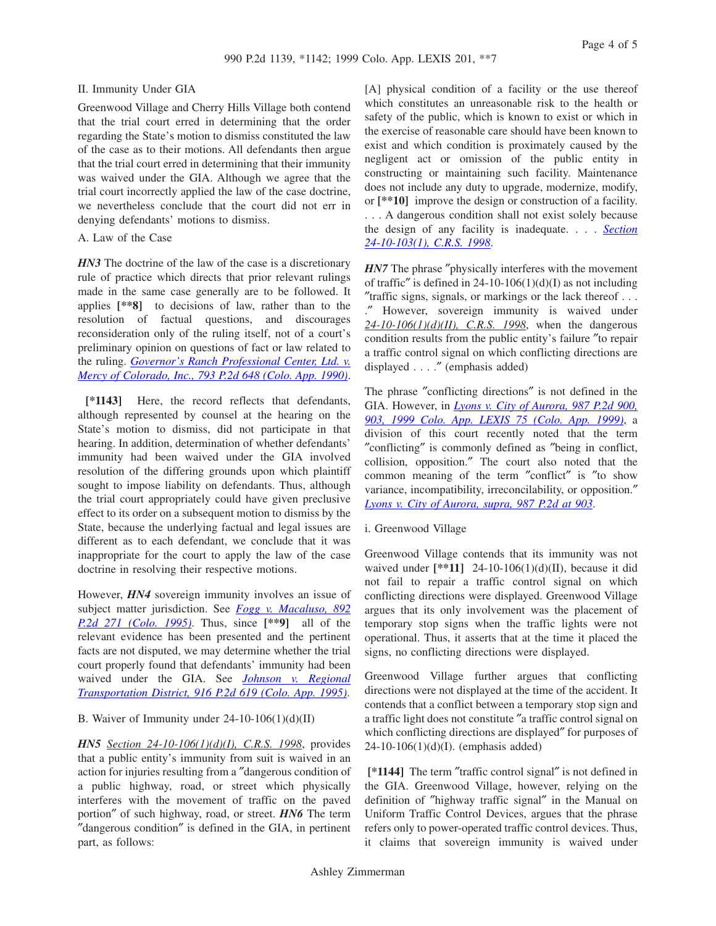## II. Immunity Under GIA

Greenwood Village and Cherry Hills Village both contend that the trial court erred in determining that the order regarding the State's motion to dismiss constituted the law of the case as to their motions. All defendants then argue that the trial court erred in determining that their immunity was waived under the GIA. Although we agree that the trial court incorrectly applied the law of the case doctrine, we nevertheless conclude that the court did not err in denying defendants' motions to dismiss.

#### A. Law of the Case

*HN3* The doctrine of the law of the case is a discretionary rule of practice which directs that prior relevant rulings made in the same case generally are to be followed. It applies **[\*\*8]** to decisions of law, rather than to the resolution of factual questions, and discourages reconsideration only of the ruling itself, not of a court's preliminary opinion on questions of fact or law related to the ruling. *[Governor's Ranch Professional Center, Ltd. v.](http://advance.lexis.com/api/document/collection/cases/id/3RX4-3160-003D-90H9-00000-00?context=1000516) [Mercy of Colorado, Inc., 793 P.2d 648 \(Colo. App. 1990\)](http://advance.lexis.com/api/document/collection/cases/id/3RX4-3160-003D-90H9-00000-00?context=1000516)*.

**[\*1143]** Here, the record reflects that defendants, although represented by counsel at the hearing on the State's motion to dismiss, did not participate in that hearing. In addition, determination of whether defendants' immunity had been waived under the GIA involved resolution of the differing grounds upon which plaintiff sought to impose liability on defendants. Thus, although the trial court appropriately could have given preclusive effect to its order on a subsequent motion to dismiss by the State, because the underlying factual and legal issues are different as to each defendant, we conclude that it was inappropriate for the court to apply the law of the case doctrine in resolving their respective motions.

However, *HN4* sovereign immunity involves an issue of subject matter jurisdiction. See *[Fogg v. Macaluso, 892](http://advance.lexis.com/api/document/collection/cases/id/3RX4-02S0-003D-92XF-00000-00?context=1000516) [P.2d 271 \(Colo. 1995\)](http://advance.lexis.com/api/document/collection/cases/id/3RX4-02S0-003D-92XF-00000-00?context=1000516)*. Thus, since **[\*\*9]** all of the relevant evidence has been presented and the pertinent facts are not disputed, we may determine whether the trial court properly found that defendants' immunity had been waived under the GIA. See *[Johnson v. Regional](http://advance.lexis.com/api/document/collection/cases/id/3RX4-2CK0-003D-9338-00000-00?context=1000516) [Transportation District, 916 P.2d 619 \(Colo. App. 1995\)](http://advance.lexis.com/api/document/collection/cases/id/3RX4-2CK0-003D-9338-00000-00?context=1000516)*.

## B. Waiver of Immunity under  $24-10-106(1)(d)(II)$

*HN5 Section 24-10-106(1)(d)(I), C.R.S. 1998*, provides that a public entity's immunity from suit is waived in an action for injuries resulting from a ″dangerous condition of a public highway, road, or street which physically interferes with the movement of traffic on the paved portion″ of such highway, road, or street. *HN6* The term ″dangerous condition″ is defined in the GIA, in pertinent part, as follows:

[A] physical condition of a facility or the use thereof which constitutes an unreasonable risk to the health or safety of the public, which is known to exist or which in the exercise of reasonable care should have been known to exist and which condition is proximately caused by the negligent act or omission of the public entity in constructing or maintaining such facility. Maintenance does not include any duty to upgrade, modernize, modify, or **[\*\*10]** improve the design or construction of a facility. . . . A dangerous condition shall not exist solely because the design of any facility is inadequate. . . . *[Section](http://advance.lexis.com/api/document/collection/statutes-legislation/id/597D-F000-01JM-N25B-00000-00?context=1000516) [24-10-103\(1\), C.R.S. 1998](http://advance.lexis.com/api/document/collection/statutes-legislation/id/597D-F000-01JM-N25B-00000-00?context=1000516)*.

*HN7* The phrase "physically interferes with the movement of traffic" is defined in 24-10-106(1)(d)(I) as not including ″traffic signs, signals, or markings or the lack thereof . . . .″ However, sovereign immunity is waived under *24-10-106(1)(d)(II), C.R.S. 1998*, when the dangerous condition results from the public entity's failure ″to repair a traffic control signal on which conflicting directions are displayed . . . .″ (emphasis added)

The phrase ″conflicting directions″ is not defined in the GIA. However, in *[Lyons v. City of Aurora, 987 P.2d 900,](http://advance.lexis.com/api/document/collection/cases/id/3W5B-0520-0039-4547-00000-00?context=1000516) [903, 1999 Colo. App. LEXIS 75 \(Colo. App. 1999\)](http://advance.lexis.com/api/document/collection/cases/id/3W5B-0520-0039-4547-00000-00?context=1000516)*, a division of this court recently noted that the term ″conflicting″ is commonly defined as ″being in conflict, collision, opposition.″ The court also noted that the common meaning of the term ″conflict″ is ″to show variance, incompatibility, irreconcilability, or opposition.″ *[Lyons v. City of Aurora, supra, 987 P.2d at 903](http://advance.lexis.com/api/document/collection/cases/id/3W5B-0520-0039-4547-00000-00?context=1000516)*.

i. Greenwood Village

Greenwood Village contends that its immunity was not waived under **[\*\*11]** 24-10-106(1)(d)(II), because it did not fail to repair a traffic control signal on which conflicting directions were displayed. Greenwood Village argues that its only involvement was the placement of temporary stop signs when the traffic lights were not operational. Thus, it asserts that at the time it placed the signs, no conflicting directions were displayed.

Greenwood Village further argues that conflicting directions were not displayed at the time of the accident. It contends that a conflict between a temporary stop sign and a traffic light does not constitute ″a traffic control signal on which conflicting directions are displayed″ for purposes of 24-10-106(1)(d)(I). (emphasis added)

**[\*1144]** The term ″traffic control signal″ is not defined in the GIA. Greenwood Village, however, relying on the definition of ″highway traffic signal″ in the Manual on Uniform Traffic Control Devices, argues that the phrase refers only to power-operated traffic control devices. Thus, it claims that sovereign immunity is waived under